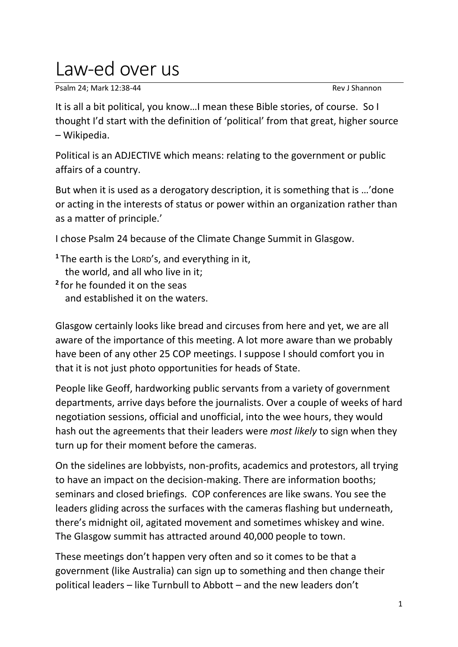## Law-ed over us

Psalm 24: Mark 12:38-44 Rev J Shannon

It is all a bit political, you know…I mean these Bible stories, of course. So I thought I'd start with the definition of 'political' from that great, higher source – Wikipedia.

Political is an ADJECTIVE which means: relating to the government or public affairs of a country.

But when it is used as a derogatory description, it is something that is …'done or acting in the interests of status or power within an organization rather than as a matter of principle.'

I chose Psalm 24 because of the Climate Change Summit in Glasgow.

**<sup>1</sup>** The earth is the LORD's, and everything in it, the world, and all who live in it; **2** for he founded it on the seas and established it on the waters.

Glasgow certainly looks like bread and circuses from here and yet, we are all aware of the importance of this meeting. A lot more aware than we probably have been of any other 25 COP meetings. I suppose I should comfort you in that it is not just photo opportunities for heads of State.

People like Geoff, hardworking public servants from a variety of government departments, arrive days before the journalists. Over a couple of weeks of hard negotiation sessions, official and unofficial, into the wee hours, they would hash out the agreements that their leaders were *most likely* to sign when they turn up for their moment before the cameras.

On the sidelines are lobbyists, non-profits, academics and protestors, all trying to have an impact on the decision-making. There are information booths; seminars and closed briefings. COP conferences are like swans. You see the leaders gliding across the surfaces with the cameras flashing but underneath, there's midnight oil, agitated movement and sometimes whiskey and wine. The Glasgow summit has attracted around 40,000 people to town.

These meetings don't happen very often and so it comes to be that a government (like Australia) can sign up to something and then change their political leaders – like Turnbull to Abbott – and the new leaders don't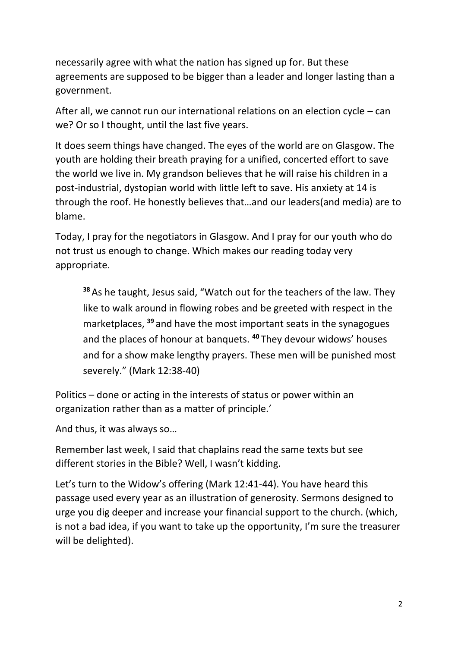necessarily agree with what the nation has signed up for. But these agreements are supposed to be bigger than a leader and longer lasting than a government.

After all, we cannot run our international relations on an election cycle – can we? Or so I thought, until the last five years.

It does seem things have changed. The eyes of the world are on Glasgow. The youth are holding their breath praying for a unified, concerted effort to save the world we live in. My grandson believes that he will raise his children in a post-industrial, dystopian world with little left to save. His anxiety at 14 is through the roof. He honestly believes that…and our leaders(and media) are to blame.

Today, I pray for the negotiators in Glasgow. And I pray for our youth who do not trust us enough to change. Which makes our reading today very appropriate.

**<sup>38</sup>** As he taught, Jesus said, "Watch out for the teachers of the law. They like to walk around in flowing robes and be greeted with respect in the marketplaces, **<sup>39</sup>** and have the most important seats in the synagogues and the places of honour at banquets. **<sup>40</sup>** They devour widows' houses and for a show make lengthy prayers. These men will be punished most severely." (Mark 12:38-40)

Politics – done or acting in the interests of status or power within an organization rather than as a matter of principle.'

And thus, it was always so…

Remember last week, I said that chaplains read the same texts but see different stories in the Bible? Well, I wasn't kidding.

Let's turn to the Widow's offering (Mark 12:41-44). You have heard this passage used every year as an illustration of generosity. Sermons designed to urge you dig deeper and increase your financial support to the church. (which, is not a bad idea, if you want to take up the opportunity, I'm sure the treasurer will be delighted).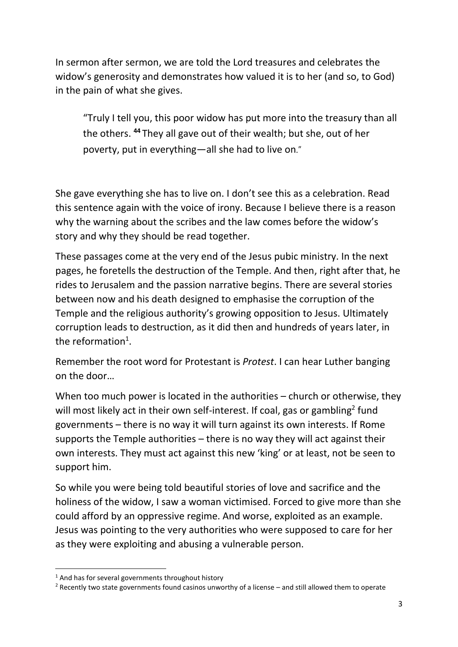In sermon after sermon, we are told the Lord treasures and celebrates the widow's generosity and demonstrates how valued it is to her (and so, to God) in the pain of what she gives.

"Truly I tell you, this poor widow has put more into the treasury than all the others. **<sup>44</sup>** They all gave out of their wealth; but she, out of her poverty, put in everything—all she had to live on."

She gave everything she has to live on. I don't see this as a celebration. Read this sentence again with the voice of irony. Because I believe there is a reason why the warning about the scribes and the law comes before the widow's story and why they should be read together.

These passages come at the very end of the Jesus pubic ministry. In the next pages, he foretells the destruction of the Temple. And then, right after that, he rides to Jerusalem and the passion narrative begins. There are several stories between now and his death designed to emphasise the corruption of the Temple and the religious authority's growing opposition to Jesus. Ultimately corruption leads to destruction, as it did then and hundreds of years later, in the reformation<sup>1</sup>.

Remember the root word for Protestant is *Protest*. I can hear Luther banging on the door…

When too much power is located in the authorities – church or otherwise, they will most likely act in their own self-interest. If coal, gas or gambling<sup>2</sup> fund governments – there is no way it will turn against its own interests. If Rome supports the Temple authorities – there is no way they will act against their own interests. They must act against this new 'king' or at least, not be seen to support him.

So while you were being told beautiful stories of love and sacrifice and the holiness of the widow, I saw a woman victimised. Forced to give more than she could afford by an oppressive regime. And worse, exploited as an example. Jesus was pointing to the very authorities who were supposed to care for her as they were exploiting and abusing a vulnerable person.

 $1$  And has for several governments throughout history

<sup>2</sup> Recently two state governments found casinos unworthy of a license – and still allowed them to operate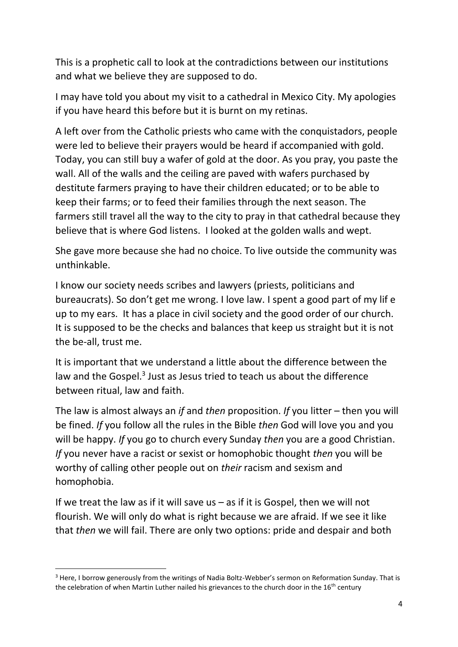This is a prophetic call to look at the contradictions between our institutions and what we believe they are supposed to do.

I may have told you about my visit to a cathedral in Mexico City. My apologies if you have heard this before but it is burnt on my retinas.

A left over from the Catholic priests who came with the conquistadors, people were led to believe their prayers would be heard if accompanied with gold. Today, you can still buy a wafer of gold at the door. As you pray, you paste the wall. All of the walls and the ceiling are paved with wafers purchased by destitute farmers praying to have their children educated; or to be able to keep their farms; or to feed their families through the next season. The farmers still travel all the way to the city to pray in that cathedral because they believe that is where God listens. I looked at the golden walls and wept.

She gave more because she had no choice. To live outside the community was unthinkable.

I know our society needs scribes and lawyers (priests, politicians and bureaucrats). So don't get me wrong. I love law. I spent a good part of my lif e up to my ears. It has a place in civil society and the good order of our church. It is supposed to be the checks and balances that keep us straight but it is not the be-all, trust me.

It is important that we understand a little about the difference between the law and the Gospel.<sup>3</sup> Just as Jesus tried to teach us about the difference between ritual, law and faith.

The law is almost always an *if* and *then* proposition. *If* you litter – then you will be fined. *If* you follow all the rules in the Bible *then* God will love you and you will be happy. *If* you go to church every Sunday *then* you are a good Christian. *If* you never have a racist or sexist or homophobic thought *then* you will be worthy of calling other people out on *their* racism and sexism and homophobia.

If we treat the law as if it will save us  $-$  as if it is Gospel, then we will not flourish. We will only do what is right because we are afraid. If we see it like that *then* we will fail. There are only two options: pride and despair and both

<sup>&</sup>lt;sup>3</sup> Here, I borrow generously from the writings of Nadia Boltz-Webber's sermon on Reformation Sunday. That is the celebration of when Martin Luther nailed his grievances to the church door in the 16<sup>th</sup> century